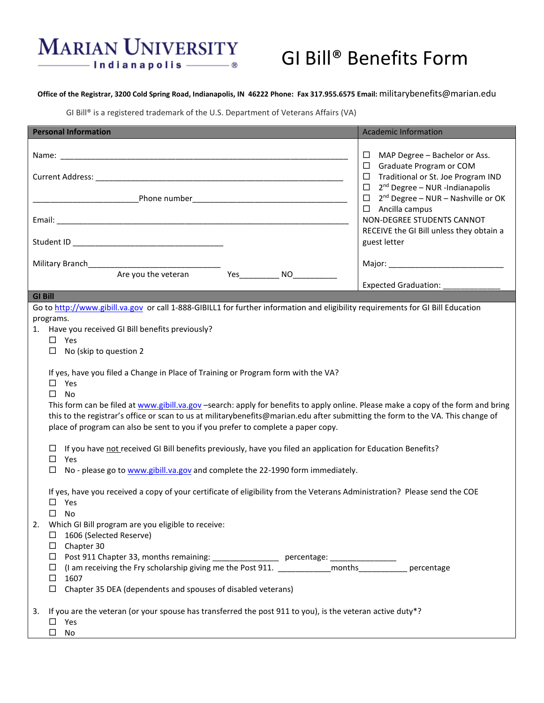## **MARIAN UNIVERSITY** - Indianapolis ———— ®

# GI Bill® Benefits Form

#### **Office of the Registrar, 3200 Cold Spring Road, Indianapolis, IN 46222 Phone: Fax 317.955.6575 Email:** militarybenefits@marian.edu

GI Bill® is a registered trademark of the U.S. Department of Veterans Affairs (VA)

| <b>Personal Information</b>                                                                                                                                                                                                                                                                                                                                                                                                                                                      |                                                                                                           |                                                                                                                                        | <b>Academic Information</b> |
|----------------------------------------------------------------------------------------------------------------------------------------------------------------------------------------------------------------------------------------------------------------------------------------------------------------------------------------------------------------------------------------------------------------------------------------------------------------------------------|-----------------------------------------------------------------------------------------------------------|----------------------------------------------------------------------------------------------------------------------------------------|-----------------------------|
|                                                                                                                                                                                                                                                                                                                                                                                                                                                                                  |                                                                                                           | $\Box$ MAP Degree - Bachelor or Ass.<br>$\Box$ Graduate Program or COM                                                                 |                             |
|                                                                                                                                                                                                                                                                                                                                                                                                                                                                                  |                                                                                                           | $\Box$ Traditional or St. Joe Program IND                                                                                              |                             |
|                                                                                                                                                                                                                                                                                                                                                                                                                                                                                  |                                                                                                           | 2 <sup>nd</sup> Degree - NUR -Indianapolis<br>$\Box$<br>$\Box$ 2 <sup>nd</sup> Degree - NUR - Nashville or OK<br>$\Box$ Ancilla campus |                             |
|                                                                                                                                                                                                                                                                                                                                                                                                                                                                                  |                                                                                                           | NON-DEGREE STUDENTS CANNOT<br>RECEIVE the GI Bill unless they obtain a                                                                 |                             |
|                                                                                                                                                                                                                                                                                                                                                                                                                                                                                  |                                                                                                           |                                                                                                                                        | guest letter                |
|                                                                                                                                                                                                                                                                                                                                                                                                                                                                                  |                                                                                                           |                                                                                                                                        |                             |
|                                                                                                                                                                                                                                                                                                                                                                                                                                                                                  |                                                                                                           |                                                                                                                                        | Expected Graduation:        |
| <b>GI Bill</b>                                                                                                                                                                                                                                                                                                                                                                                                                                                                   |                                                                                                           |                                                                                                                                        |                             |
| Go to http://www.gibill.va.gov or call 1-888-GIBILL1 for further information and eligibility requirements for GI Bill Education                                                                                                                                                                                                                                                                                                                                                  |                                                                                                           |                                                                                                                                        |                             |
| programs.                                                                                                                                                                                                                                                                                                                                                                                                                                                                        |                                                                                                           |                                                                                                                                        |                             |
| 1. Have you received GI Bill benefits previously?<br>$\square$ Yes                                                                                                                                                                                                                                                                                                                                                                                                               |                                                                                                           |                                                                                                                                        |                             |
| No (skip to question 2<br>□                                                                                                                                                                                                                                                                                                                                                                                                                                                      |                                                                                                           |                                                                                                                                        |                             |
| If yes, have you filed a Change in Place of Training or Program form with the VA?<br>Yes<br>□<br>$\Box$<br><b>No</b><br>This form can be filed at www.gibill.va.gov -search: apply for benefits to apply online. Please make a copy of the form and bring<br>this to the registrar's office or scan to us at militarybenefits@marian.edu after submitting the form to the VA. This change of<br>place of program can also be sent to you if you prefer to complete a paper copy. |                                                                                                           |                                                                                                                                        |                             |
| If you have not received GI Bill benefits previously, have you filed an application for Education Benefits?<br>$\Box$<br>$\Box$<br>Yes                                                                                                                                                                                                                                                                                                                                           |                                                                                                           |                                                                                                                                        |                             |
| □                                                                                                                                                                                                                                                                                                                                                                                                                                                                                | No - please go to www.gibill.va.gov and complete the 22-1990 form immediately.                            |                                                                                                                                        |                             |
| If yes, have you received a copy of your certificate of eligibility from the Veterans Administration? Please send the COE<br>Yes<br>□<br>□ No<br>Which GI Bill program are you eligible to receive:<br>$\Box$ 1606 (Selected Reserve)<br>$\Box$ Chapter 30<br>□ Post 911 Chapter 33, months remaining: ___________________ percentage: ______________                                                                                                                            |                                                                                                           |                                                                                                                                        |                             |
|                                                                                                                                                                                                                                                                                                                                                                                                                                                                                  | □ (I am receiving the Fry scholarship giving me the Post 911. _____________months_____________ percentage |                                                                                                                                        |                             |
| $\Box$ 1607                                                                                                                                                                                                                                                                                                                                                                                                                                                                      |                                                                                                           |                                                                                                                                        |                             |
| $\Box$ Chapter 35 DEA (dependents and spouses of disabled veterans)                                                                                                                                                                                                                                                                                                                                                                                                              |                                                                                                           |                                                                                                                                        |                             |
| If you are the veteran (or your spouse has transferred the post 911 to you), is the veteran active duty*?<br>3.<br>$\Box$ Yes<br>$\square$ No                                                                                                                                                                                                                                                                                                                                    |                                                                                                           |                                                                                                                                        |                             |